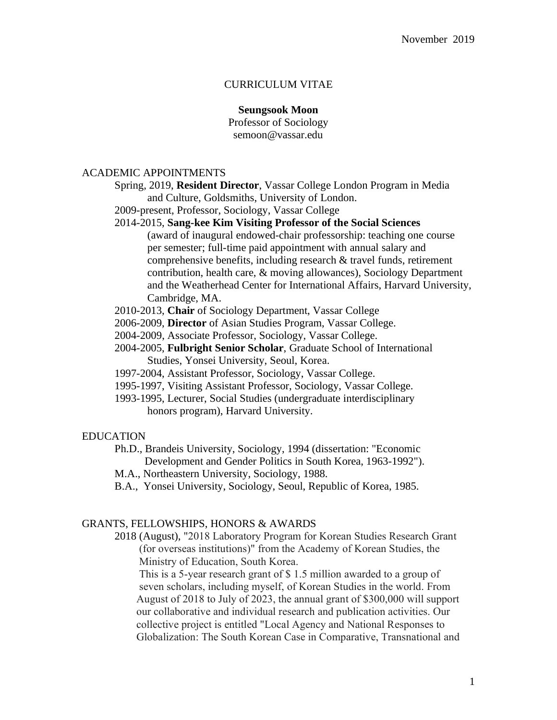# CURRICULUM VITAE

#### **Seungsook Moon**

Professor of Sociology semoon@vassar.edu

# ACADEMIC APPOINTMENTS

- Spring, 2019, **Resident Director**, Vassar College London Program in Media and Culture, Goldsmiths, University of London.
- 2009-present, Professor, Sociology, Vassar College

## 2014-2015, **Sang-kee Kim Visiting Professor of the Social Sciences**

- (award of inaugural endowed-chair professorship: teaching one course per semester; full-time paid appointment with annual salary and comprehensive benefits, including research & travel funds, retirement contribution, health care, & moving allowances), Sociology Department and the Weatherhead Center for International Affairs, Harvard University, Cambridge, MA.
- 2010-2013, **Chair** of Sociology Department, Vassar College
- 2006-2009, **Director** of Asian Studies Program, Vassar College.
- 2004-2009, Associate Professor, Sociology, Vassar College.
- 2004-2005, **Fulbright Senior Scholar**, Graduate School of International Studies, Yonsei University, Seoul, Korea.
- 1997-2004, Assistant Professor, Sociology, Vassar College.
- 1995-1997, Visiting Assistant Professor, Sociology, Vassar College.
- 1993-1995, Lecturer, Social Studies (undergraduate interdisciplinary honors program), Harvard University.

#### EDUCATION

Ph.D., Brandeis University, Sociology, 1994 (dissertation: "Economic Development and Gender Politics in South Korea, 1963-1992").

- M.A., Northeastern University, Sociology, 1988.
- B.A., Yonsei University, Sociology, Seoul, Republic of Korea, 1985.

#### GRANTS, FELLOWSHIPS, HONORS & AWARDS

2018 (August), "2018 Laboratory Program for Korean Studies Research Grant (for overseas institutions)" from the Academy of Korean Studies, the Ministry of Education, South Korea.

 This is a 5-year research grant of \$ 1.5 million awarded to a group of seven scholars, including myself, of Korean Studies in the world. From August of 2018 to July of 2023, the annual grant of \$300,000 will support our collaborative and individual research and publication activities. Our collective project is entitled "Local Agency and National Responses to Globalization: The South Korean Case in Comparative, Transnational and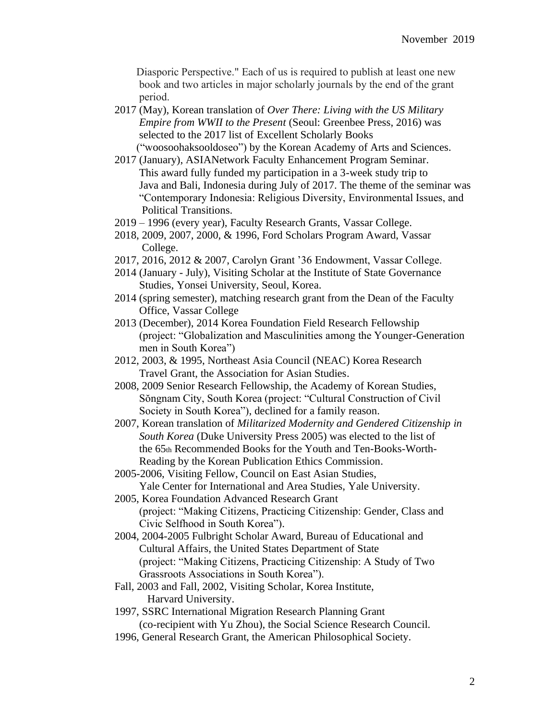Diasporic Perspective." Each of us is required to publish at least one new book and two articles in major scholarly journals by the end of the grant period.

- 2017 (May), Korean translation of *Over There: Living with the US Military Empire from WWII to the Present* (Seoul: Greenbee Press, 2016) was selected to the 2017 list of Excellent Scholarly Books ("woosoohaksooldoseo") by the Korean Academy of Arts and Sciences.
- 2017 (January), ASIANetwork Faculty Enhancement Program Seminar. This award fully funded my participation in a 3-week study trip to Java and Bali, Indonesia during July of 2017. The theme of the seminar was "Contemporary Indonesia: Religious Diversity, Environmental Issues, and Political Transitions.
- 2019 1996 (every year), Faculty Research Grants, Vassar College.
- 2018, 2009, 2007, 2000, & 1996, Ford Scholars Program Award, Vassar College.
- 2017, 2016, 2012 & 2007, Carolyn Grant '36 Endowment, Vassar College.
- 2014 (January July), Visiting Scholar at the Institute of State Governance Studies, Yonsei University, Seoul, Korea.
- 2014 (spring semester), matching research grant from the Dean of the Faculty Office, Vassar College
- 2013 (December), 2014 Korea Foundation Field Research Fellowship (project: "Globalization and Masculinities among the Younger-Generation men in South Korea")
- 2012, 2003, & 1995, Northeast Asia Council (NEAC) Korea Research Travel Grant, the Association for Asian Studies.
- 2008, 2009 Senior Research Fellowship, the Academy of Korean Studies, Sŏngnam City, South Korea (project: "Cultural Construction of Civil Society in South Korea"), declined for a family reason.
- 2007, Korean translation of *Militarized Modernity and Gendered Citizenship in South Korea* (Duke University Press 2005) was elected to the list of the 65th Recommended Books for the Youth and Ten-Books-Worth- Reading by the Korean Publication Ethics Commission.
- 2005-2006, Visiting Fellow, Council on East Asian Studies, Yale Center for International and Area Studies, Yale University.
- 2005, Korea Foundation Advanced Research Grant (project: "Making Citizens, Practicing Citizenship: Gender, Class and Civic Selfhood in South Korea").
- 2004, 2004-2005 Fulbright Scholar Award, Bureau of Educational and Cultural Affairs, the United States Department of State (project: "Making Citizens, Practicing Citizenship: A Study of Two Grassroots Associations in South Korea").
- Fall, 2003 and Fall, 2002, Visiting Scholar, Korea Institute, Harvard University.
- 1997, SSRC International Migration Research Planning Grant (co-recipient with Yu Zhou), the Social Science Research Council.
- 1996, General Research Grant, the American Philosophical Society.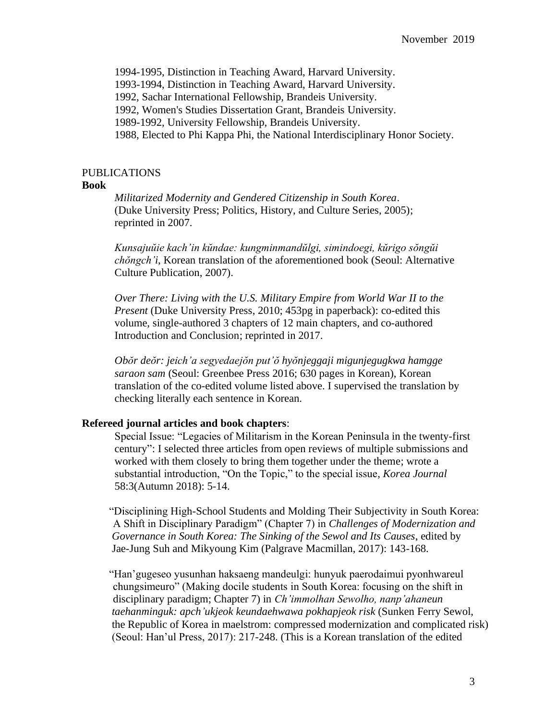1994-1995, Distinction in Teaching Award, Harvard University.

1993-1994, Distinction in Teaching Award, Harvard University.

1992, Sachar International Fellowship, Brandeis University.

1992, Women's Studies Dissertation Grant, Brandeis University.

1989-1992, University Fellowship, Brandeis University.

1988, Elected to Phi Kappa Phi, the National Interdisciplinary Honor Society.

# PUBLICATIONS

#### **Book**

*Militarized Modernity and Gendered Citizenship in South Korea*. (Duke University Press; Politics, History, and Culture Series, 2005); reprinted in 2007.

*Kunsajuŭie kach'in kŭndae: kungminmandŭlgi, simindoegi, kŭrigo sŏngŭi chŏngch'i*, Korean translation of the aforementioned book (Seoul: Alternative Culture Publication, 2007).

*Over There: Living with the U.S. Military Empire from World War II to the Present* (Duke University Press, 2010; 453pg in paperback): co-edited this volume, single-authored 3 chapters of 12 main chapters, and co-authored Introduction and Conclusion; reprinted in 2017.

*Obŏr deŏr: jeich'a segyedaejŏn put'ŏ hyŏnjeggaji migunjegugkwa hamgge saraon sam* (Seoul: Greenbee Press 2016; 630 pages in Korean), Korean translation of the co-edited volume listed above. I supervised the translation by checking literally each sentence in Korean.

#### **Refereed journal articles and book chapters**:

Special Issue: "Legacies of Militarism in the Korean Peninsula in the twenty-first century": I selected three articles from open reviews of multiple submissions and worked with them closely to bring them together under the theme; wrote a substantial introduction, "On the Topic," to the special issue, *Korea Journal* 58:3(Autumn 2018): 5-14.

 "Disciplining High-School Students and Molding Their Subjectivity in South Korea: A Shift in Disciplinary Paradigm" (Chapter 7) in *Challenges of Modernization and Governance in South Korea: The Sinking of the Sewol and Its Causes*, edited by Jae-Jung Suh and Mikyoung Kim (Palgrave Macmillan, 2017): 143-168.

 "Han'gugeseo yusunhan haksaeng mandeulgi: hunyuk paerodaimui pyonhwareul chungsimeuro" (Making docile students in South Korea: focusing on the shift in disciplinary paradigm; Chapter 7) in *Ch'immolhan Sewolho, nanp'ahaneun taehanminguk: apch'ukjeok keundaehwawa pokhapjeok risk* (Sunken Ferry Sewol, the Republic of Korea in maelstrom: compressed modernization and complicated risk) (Seoul: Han'ul Press, 2017): 217-248. (This is a Korean translation of the edited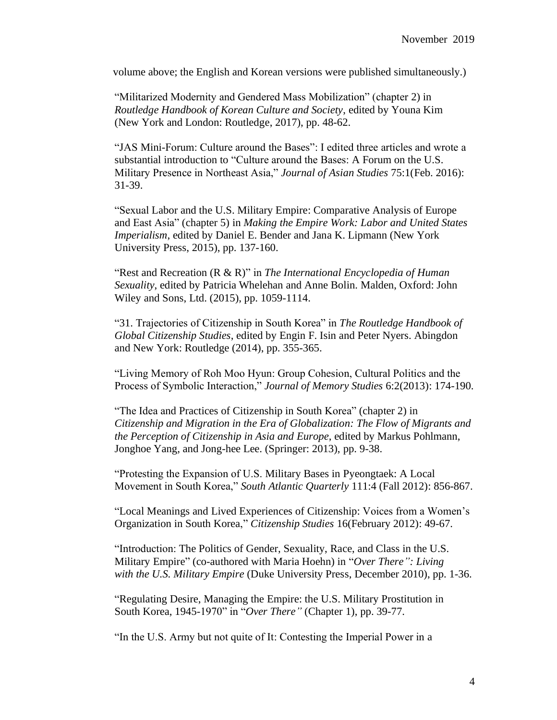volume above; the English and Korean versions were published simultaneously.)

"Militarized Modernity and Gendered Mass Mobilization" (chapter 2) in *Routledge Handbook of Korean Culture and Society*, edited by Youna Kim (New York and London: Routledge, 2017), pp. 48-62.

"JAS Mini-Forum: Culture around the Bases": I edited three articles and wrote a substantial introduction to "Culture around the Bases: A Forum on the U.S. Military Presence in Northeast Asia," *Journal of Asian Studies* 75:1(Feb. 2016): 31-39.

"Sexual Labor and the U.S. Military Empire: Comparative Analysis of Europe and East Asia" (chapter 5) in *Making the Empire Work: Labor and United States Imperialism*, edited by Daniel E. Bender and Jana K. Lipmann (New York University Press, 2015), pp. 137-160.

"Rest and Recreation (R & R)" in *The International Encyclopedia of Human Sexuality*, edited by Patricia Whelehan and Anne Bolin. Malden, Oxford: John Wiley and Sons, Ltd. (2015), pp. 1059-1114.

"31. Trajectories of Citizenship in South Korea" in *The Routledge Handbook of Global Citizenship Studies*, edited by Engin F. Isin and Peter Nyers. Abingdon and New York: Routledge (2014), pp. 355-365.

"Living Memory of Roh Moo Hyun: Group Cohesion, Cultural Politics and the Process of Symbolic Interaction," *Journal of Memory Studies* 6:2(2013): 174-190.

"The Idea and Practices of Citizenship in South Korea" (chapter 2) in *Citizenship and Migration in the Era of Globalization: The Flow of Migrants and the Perception of Citizenship in Asia and Europe*, edited by Markus Pohlmann, Jonghoe Yang, and Jong-hee Lee. (Springer: 2013), pp. 9-38.

"Protesting the Expansion of U.S. Military Bases in Pyeongtaek: A Local Movement in South Korea," *South Atlantic Quarterly* 111:4 (Fall 2012): 856-867.

"Local Meanings and Lived Experiences of Citizenship: Voices from a Women's Organization in South Korea," *Citizenship Studies* 16(February 2012): 49-67.

"Introduction: The Politics of Gender, Sexuality, Race, and Class in the U.S. Military Empire" (co-authored with Maria Hoehn) in "*Over There": Living with the U.S. Military Empire* (Duke University Press, December 2010), pp. 1-36.

"Regulating Desire, Managing the Empire: the U.S. Military Prostitution in South Korea, 1945-1970" in "*Over There"* (Chapter 1), pp. 39-77.

"In the U.S. Army but not quite of It: Contesting the Imperial Power in a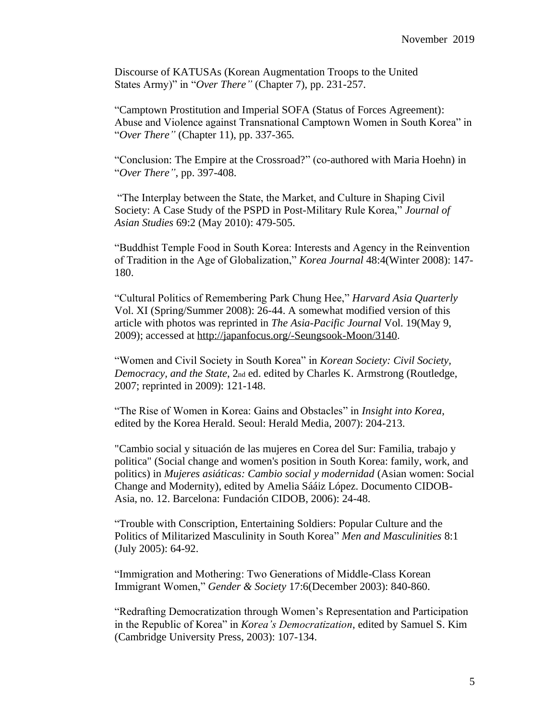Discourse of KATUSAs (Korean Augmentation Troops to the United States Army)" in "*Over There"* (Chapter 7), pp. 231-257.

"Camptown Prostitution and Imperial SOFA (Status of Forces Agreement): Abuse and Violence against Transnational Camptown Women in South Korea" in "*Over There"* (Chapter 11), pp. 337-365*.*

"Conclusion: The Empire at the Crossroad?" (co-authored with Maria Hoehn) in "*Over There"*, pp. 397-408.

"The Interplay between the State, the Market, and Culture in Shaping Civil Society: A Case Study of the PSPD in Post-Military Rule Korea," *Journal of Asian Studies* 69:2 (May 2010): 479-505.

"Buddhist Temple Food in South Korea: Interests and Agency in the Reinvention of Tradition in the Age of Globalization," *Korea Journal* 48:4(Winter 2008): 147- 180.

"Cultural Politics of Remembering Park Chung Hee," *Harvard Asia Quarterly* Vol. XI (Spring/Summer 2008): 26-44. A somewhat modified version of this article with photos was reprinted in *The Asia-Pacific Journal* Vol. 19(May 9, 2009); accessed at [http://japanfocus.org/-Seungsook-Moon/3140.](http://japanfocus.org/-Seungsook-Moon/3140)

"Women and Civil Society in South Korea" in *Korean Society: Civil Society, Democracy, and the State*, 2nd ed. edited by Charles K. Armstrong (Routledge, 2007; reprinted in 2009): 121-148.

"The Rise of Women in Korea: Gains and Obstacles" in *Insight into Korea*, edited by the Korea Herald. Seoul: Herald Media, 2007): 204-213.

"Cambio social y situación de las mujeres en Corea del Sur: Familia, trabajo y politica" (Social change and women's position in South Korea: family, work, and politics) in *Mujeres asiáticas: Cambio social y modernidad* (Asian women: Social Change and Modernity), edited by Amelia Sááiz López. Documento CIDOB-Asia, no. 12. Barcelona: Fundación CIDOB, 2006): 24-48.

"Trouble with Conscription, Entertaining Soldiers: Popular Culture and the Politics of Militarized Masculinity in South Korea" *Men and Masculinities* 8:1 (July 2005): 64-92.

"Immigration and Mothering: Two Generations of Middle-Class Korean Immigrant Women," *Gender & Society* 17:6(December 2003): 840-860.

"Redrafting Democratization through Women's Representation and Participation in the Republic of Korea" in *Korea's Democratization*, edited by Samuel S. Kim (Cambridge University Press, 2003): 107-134.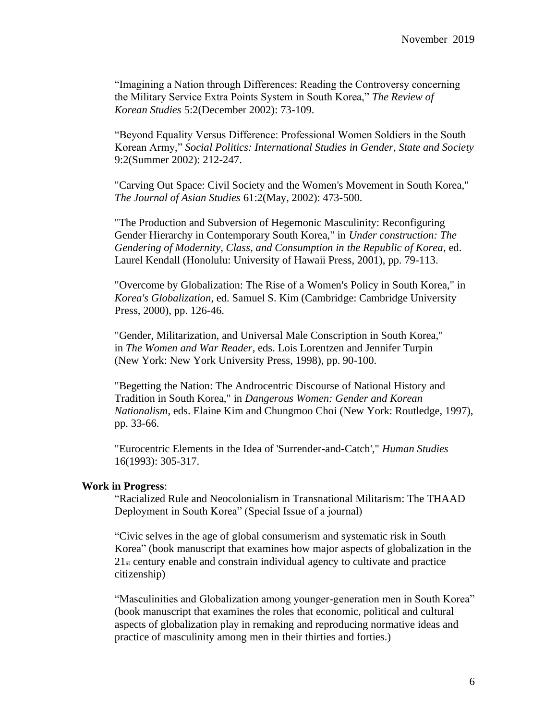"Imagining a Nation through Differences: Reading the Controversy concerning the Military Service Extra Points System in South Korea," *The Review of Korean Studies* 5:2(December 2002): 73-109.

"Beyond Equality Versus Difference: Professional Women Soldiers in the South Korean Army," *Social Politics: International Studies in Gender, State and Society* 9:2(Summer 2002): 212-247.

"Carving Out Space: Civil Society and the Women's Movement in South Korea," *The Journal of Asian Studies* 61:2(May, 2002): 473-500.

"The Production and Subversion of Hegemonic Masculinity: Reconfiguring Gender Hierarchy in Contemporary South Korea," in *Under construction: The Gendering of Modernity, Class, and Consumption in the Republic of Korea*, ed. Laurel Kendall (Honolulu: University of Hawaii Press, 2001), pp. 79-113.

"Overcome by Globalization: The Rise of a Women's Policy in South Korea," in *Korea's Globalization*, ed. Samuel S. Kim (Cambridge: Cambridge University Press, 2000), pp. 126-46.

"Gender, Militarization, and Universal Male Conscription in South Korea," in *The Women and War Reader*, eds. Lois Lorentzen and Jennifer Turpin (New York: New York University Press, 1998), pp. 90-100.

"Begetting the Nation: The Androcentric Discourse of National History and Tradition in South Korea," in *Dangerous Women: Gender and Korean Nationalism*, eds. Elaine Kim and Chungmoo Choi (New York: Routledge, 1997), pp. 33-66.

"Eurocentric Elements in the Idea of 'Surrender-and-Catch'," *Human Studies* 16(1993): 305-317.

# **Work in Progress**:

"Racialized Rule and Neocolonialism in Transnational Militarism: The THAAD Deployment in South Korea" (Special Issue of a journal)

"Civic selves in the age of global consumerism and systematic risk in South Korea" (book manuscript that examines how major aspects of globalization in the 21st century enable and constrain individual agency to cultivate and practice citizenship)

"Masculinities and Globalization among younger-generation men in South Korea" (book manuscript that examines the roles that economic, political and cultural aspects of globalization play in remaking and reproducing normative ideas and practice of masculinity among men in their thirties and forties.)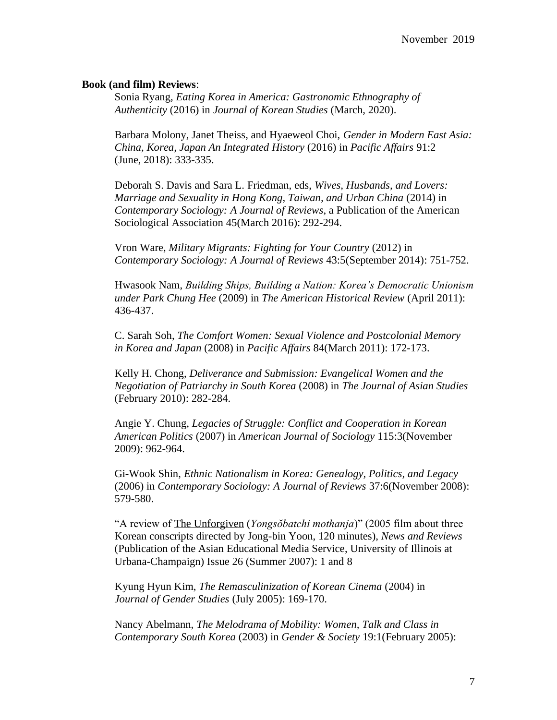## **Book (and film) Reviews**:

Sonia Ryang, *Eating Korea in America: Gastronomic Ethnography of Authenticity* (2016) in *Journal of Korean Studies* (March, 2020).

Barbara Molony, Janet Theiss, and Hyaeweol Choi, *Gender in Modern East Asia: China, Korea, Japan An Integrated History* (2016) in *Pacific Affairs* 91:2 (June, 2018): 333-335.

Deborah S. Davis and Sara L. Friedman, eds, *Wives, Husbands, and Lovers: Marriage and Sexuality in Hong Kong, Taiwan, and Urban China* (2014) in *Contemporary Sociology: A Journal of Reviews*, a Publication of the American Sociological Association 45(March 2016): 292-294.

Vron Ware, *Military Migrants: Fighting for Your Country* (2012) in *Contemporary Sociology: A Journal of Reviews* 43:5(September 2014): 751-752.

Hwasook Nam, *Building Ships, Building a Nation: Korea's Democratic Unionism under Park Chung Hee* (2009) in *The American Historical Review* (April 2011): 436-437.

C. Sarah Soh, *The Comfort Women: Sexual Violence and Postcolonial Memory in Korea and Japan* (2008) in *Pacific Affairs* 84(March 2011): 172-173.

Kelly H. Chong, *Deliverance and Submission: Evangelical Women and the Negotiation of Patriarchy in South Korea* (2008) in *The Journal of Asian Studies* (February 2010): 282-284.

Angie Y. Chung, *Legacies of Struggle: Conflict and Cooperation in Korean American Politics* (2007) in *American Journal of Sociology* 115:3(November 2009): 962-964.

Gi-Wook Shin, *Ethnic Nationalism in Korea: Genealogy, Politics, and Legacy*  (2006) in *Contemporary Sociology: A Journal of Reviews* 37:6(November 2008): 579-580.

"A review of The Unforgiven (*Yongsŏbatchi mothanja*)" (2005 film about three Korean conscripts directed by Jong-bin Yoon, 120 minutes), *News and Reviews* (Publication of the Asian Educational Media Service, University of Illinois at Urbana-Champaign) Issue 26 (Summer 2007): 1 and 8

Kyung Hyun Kim, *The Remasculinization of Korean Cinema* (2004) in *Journal of Gender Studies* (July 2005): 169-170.

Nancy Abelmann, *The Melodrama of Mobility: Women, Talk and Class in Contemporary South Korea* (2003) in *Gender & Society* 19:1(February 2005):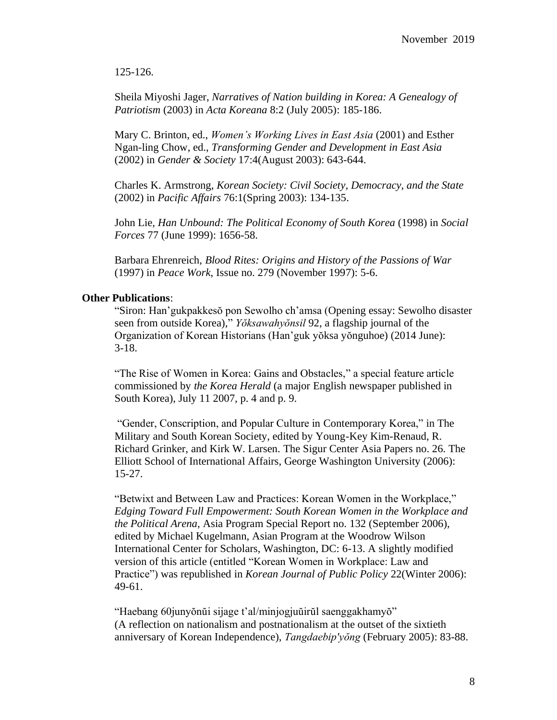125-126.

Sheila Miyoshi Jager, *Narratives of Nation building in Korea: A Genealogy of Patriotism* (2003) in *Acta Koreana* 8:2 (July 2005): 185-186.

Mary C. Brinton, ed., *Women's Working Lives in East Asia* (2001) and Esther Ngan-ling Chow, ed., *Transforming Gender and Development in East Asia* (2002) in *Gender & Society* 17:4(August 2003): 643-644.

Charles K. Armstrong, *Korean Society: Civil Society, Democracy, and the State* (2002) in *Pacific Affairs* 76:1(Spring 2003): 134-135.

John Lie, *Han Unbound: The Political Economy of South Korea* (1998) in *Social Forces* 77 (June 1999): 1656-58.

Barbara Ehrenreich, *Blood Rites: Origins and History of the Passions of War* (1997) in *Peace Work*, Issue no. 279 (November 1997): 5-6.

## **Other Publications**:

"Siron: Han'gukpakkesŏ pon Sewolho ch'amsa (Opening essay: Sewolho disaster seen from outside Korea)," *Yŏksawahyŏnsil* 92, a flagship journal of the Organization of Korean Historians (Han'guk yŏksa yŏnguhoe) (2014 June): 3-18.

"The Rise of Women in Korea: Gains and Obstacles," a special feature article commissioned by *the Korea Herald* (a major English newspaper published in South Korea), July 11 2007, p. 4 and p. 9.

"Gender, Conscription, and Popular Culture in Contemporary Korea," in The Military and South Korean Society, edited by Young-Key Kim-Renaud, R. Richard Grinker, and Kirk W. Larsen. The Sigur Center Asia Papers no. 26. The Elliott School of International Affairs, George Washington University (2006): 15-27.

"Betwixt and Between Law and Practices: Korean Women in the Workplace," *Edging Toward Full Empowerment: South Korean Women in the Workplace and the Political Arena*, Asia Program Special Report no. 132 (September 2006), edited by Michael Kugelmann, Asian Program at the Woodrow Wilson International Center for Scholars, Washington, DC: 6-13. A slightly modified version of this article (entitled "Korean Women in Workplace: Law and Practice") was republished in *Korean Journal of Public Policy* 22(Winter 2006): 49-61.

"Haebang 60junyŏnŭi sijage t'al/minjogjuŭirŭl saenggakhamyŏ" (A reflection on nationalism and postnationalism at the outset of the sixtieth anniversary of Korean Independence), *Tangdaebip'yŏng* (February 2005): 83-88.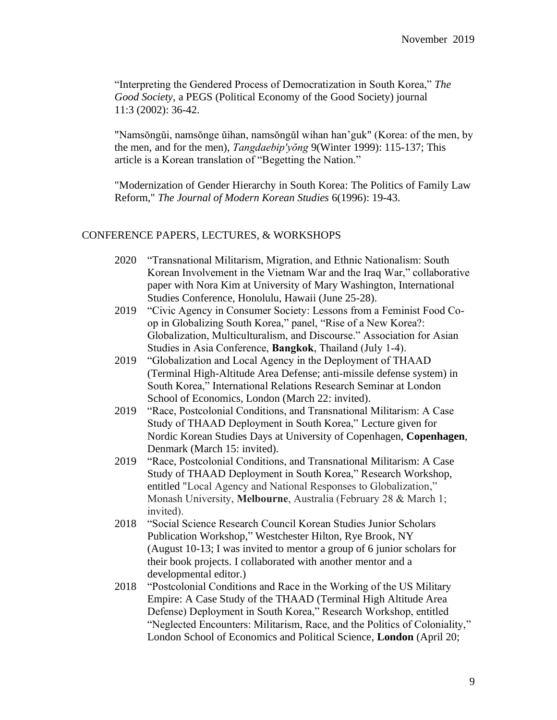"Interpreting the Gendered Process of Democratization in South Korea," *The Good Society*, a PEGS (Political Economy of the Good Society) journal 11:3 (2002): 36-42.

"Namsŏngŭi, namsŏnge ŭihan, namsŏngŭl wihan han'guk" (Korea: of the men, by the men, and for the men), *Tangdaebip'yŏng* 9(Winter 1999): 115-137; This article is a Korean translation of "Begetting the Nation."

"Modernization of Gender Hierarchy in South Korea: The Politics of Family Law Reform," *The Journal of Modern Korean Studies* 6(1996): 19-43.

# CONFERENCE PAPERS, LECTURES, & WORKSHOPS

- 2020 "Transnational Militarism, Migration, and Ethnic Nationalism: South Korean Involvement in the Vietnam War and the Iraq War," collaborative paper with Nora Kim at University of Mary Washington, International Studies Conference, Honolulu, Hawaii (June 25-28).
- 2019 "Civic Agency in Consumer Society: Lessons from a Feminist Food Coop in Globalizing South Korea," panel, "Rise of a New Korea?: Globalization, Multiculturalism, and Discourse." Association for Asian Studies in Asia Conference, **Bangkok**, Thailand (July 1-4).
- 2019 "Globalization and Local Agency in the Deployment of THAAD (Terminal High-Altitude Area Defense; anti-missile defense system) in South Korea," International Relations Research Seminar at London School of Economics, London (March 22: invited).
- 2019 "Race, Postcolonial Conditions, and Transnational Militarism: A Case Study of THAAD Deployment in South Korea," Lecture given for Nordic Korean Studies Days at University of Copenhagen, **Copenhagen**, Denmark (March 15: invited).
- 2019 "Race, Postcolonial Conditions, and Transnational Militarism: A Case Study of THAAD Deployment in South Korea," Research Workshop, entitled "Local Agency and National Responses to Globalization," Monash University, **Melbourne**, Australia (February 28 & March 1; invited).
- 2018 "Social Science Research Council Korean Studies Junior Scholars Publication Workshop," Westchester Hilton, Rye Brook, NY (August 10-13; I was invited to mentor a group of 6 junior scholars for their book projects. I collaborated with another mentor and a developmental editor.)
- 2018 "Postcolonial Conditions and Race in the Working of the US Military Empire: A Case Study of the THAAD (Terminal High Altitude Area Defense) Deployment in South Korea," Research Workshop, entitled "Neglected Encounters: Militarism, Race, and the Politics of Coloniality," London School of Economics and Political Science, **London** (April 20;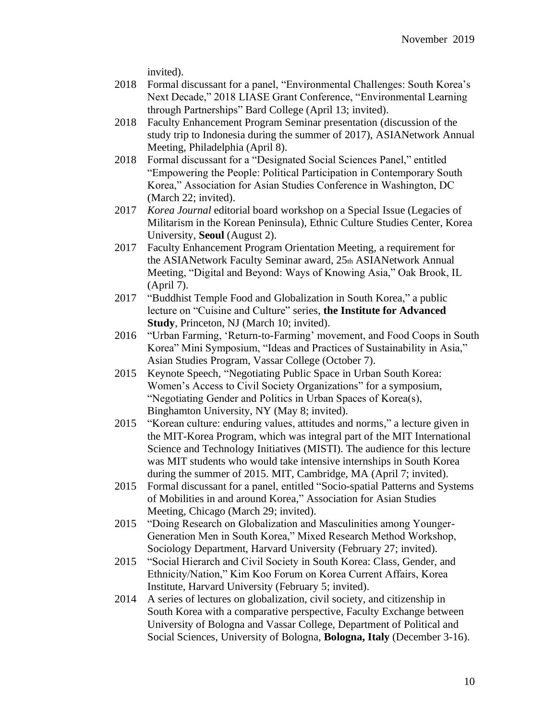invited).

- 2018 Formal discussant for a panel, "Environmental Challenges: South Korea's Next Decade," 2018 LIASE Grant Conference, "Environmental Learning through Partnerships" Bard College (April 13; invited).
- 2018 Faculty Enhancement Program Seminar presentation (discussion of the study trip to Indonesia during the summer of 2017), ASIANetwork Annual Meeting, Philadelphia (April 8).
- 2018 Formal discussant for a "Designated Social Sciences Panel," entitled "Empowering the People: Political Participation in Contemporary South Korea," Association for Asian Studies Conference in Washington, DC (March 22; invited).
- 2017 *Korea Journal* editorial board workshop on a Special Issue (Legacies of Militarism in the Korean Peninsula), Ethnic Culture Studies Center, Korea University, **Seoul** (August 2).
- 2017 Faculty Enhancement Program Orientation Meeting, a requirement for the ASIANetwork Faculty Seminar award, 25th ASIANetwork Annual Meeting, "Digital and Beyond: Ways of Knowing Asia," Oak Brook, IL (April 7).
- 2017 "Buddhist Temple Food and Globalization in South Korea," a public lecture on "Cuisine and Culture" series, **the Institute for Advanced Study**, Princeton, NJ (March 10; invited).
- 2016 "Urban Farming, 'Return-to-Farming' movement, and Food Coops in South Korea" Mini Symposium, "Ideas and Practices of Sustainability in Asia," Asian Studies Program, Vassar College (October 7).
- 2015 Keynote Speech, "Negotiating Public Space in Urban South Korea: Women's Access to Civil Society Organizations" for a symposium, "Negotiating Gender and Politics in Urban Spaces of Korea(s), Binghamton University, NY (May 8; invited).
- 2015 "Korean culture: enduring values, attitudes and norms," a lecture given in the MIT-Korea Program, which was integral part of the MIT International Science and Technology Initiatives (MISTI). The audience for this lecture was MIT students who would take intensive internships in South Korea during the summer of 2015. MIT, Cambridge, MA (April 7; invited).
- 2015 Formal discussant for a panel, entitled "Socio-spatial Patterns and Systems of Mobilities in and around Korea," Association for Asian Studies Meeting, Chicago (March 29; invited).
- 2015 "Doing Research on Globalization and Masculinities among Younger-Generation Men in South Korea," Mixed Research Method Workshop, Sociology Department, Harvard University (February 27; invited).
- 2015 "Social Hierarch and Civil Society in South Korea: Class, Gender, and Ethnicity/Nation," Kim Koo Forum on Korea Current Affairs, Korea Institute, Harvard University (February 5; invited).
- 2014 A series of lectures on globalization, civil society, and citizenship in South Korea with a comparative perspective, Faculty Exchange between University of Bologna and Vassar College, Department of Political and Social Sciences, University of Bologna, **Bologna, Italy** (December 3-16).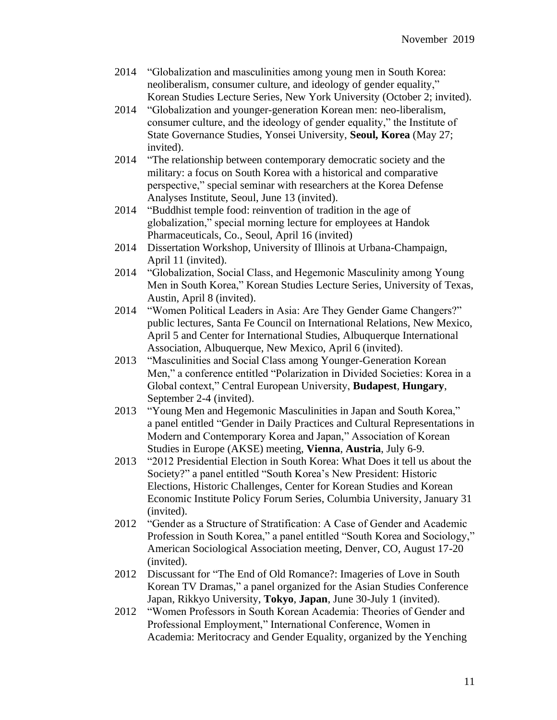- 2014 "Globalization and masculinities among young men in South Korea: neoliberalism, consumer culture, and ideology of gender equality," Korean Studies Lecture Series, New York University (October 2; invited).
- 2014 "Globalization and younger-generation Korean men: neo-liberalism, consumer culture, and the ideology of gender equality," the Institute of State Governance Studies, Yonsei University, **Seoul, Korea** (May 27; invited).
- 2014 "The relationship between contemporary democratic society and the military: a focus on South Korea with a historical and comparative perspective," special seminar with researchers at the Korea Defense Analyses Institute, Seoul, June 13 (invited).
- 2014 "Buddhist temple food: reinvention of tradition in the age of globalization," special morning lecture for employees at Handok Pharmaceuticals, Co., Seoul, April 16 (invited)
- 2014 Dissertation Workshop, University of Illinois at Urbana-Champaign, April 11 (invited).
- 2014 "Globalization, Social Class, and Hegemonic Masculinity among Young Men in South Korea," Korean Studies Lecture Series, University of Texas, Austin, April 8 (invited).
- 2014 "Women Political Leaders in Asia: Are They Gender Game Changers?" public lectures, Santa Fe Council on International Relations, New Mexico, April 5 and Center for International Studies, Albuquerque International Association, Albuquerque, New Mexico, April 6 (invited).
- 2013 "Masculinities and Social Class among Younger-Generation Korean Men," a conference entitled "Polarization in Divided Societies: Korea in a Global context," Central European University, **Budapest**, **Hungary**, September 2-4 (invited).
- 2013 "Young Men and Hegemonic Masculinities in Japan and South Korea," a panel entitled "Gender in Daily Practices and Cultural Representations in Modern and Contemporary Korea and Japan," Association of Korean Studies in Europe (AKSE) meeting, **Vienna**, **Austria**, July 6-9.
- 2013 "2012 Presidential Election in South Korea: What Does it tell us about the Society?" a panel entitled "South Korea's New President: Historic Elections, Historic Challenges, Center for Korean Studies and Korean Economic Institute Policy Forum Series, Columbia University, January 31 (invited).
- 2012 "Gender as a Structure of Stratification: A Case of Gender and Academic Profession in South Korea," a panel entitled "South Korea and Sociology," American Sociological Association meeting, Denver, CO, August 17-20 (invited).
- 2012 Discussant for "The End of Old Romance?: Imageries of Love in South Korean TV Dramas," a panel organized for the Asian Studies Conference Japan, Rikkyo University, **Tokyo**, **Japan**, June 30-July 1 (invited).
- 2012 "Women Professors in South Korean Academia: Theories of Gender and Professional Employment," International Conference, Women in Academia: Meritocracy and Gender Equality, organized by the Yenching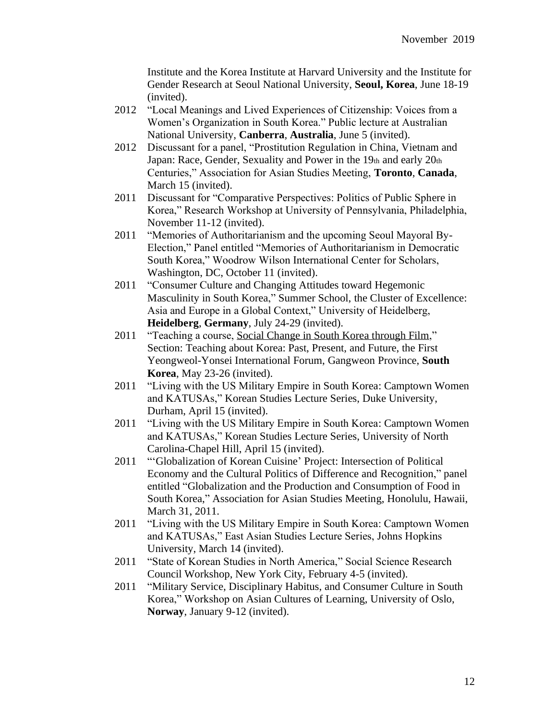Institute and the Korea Institute at Harvard University and the Institute for Gender Research at Seoul National University, **Seoul, Korea**, June 18-19 (invited).

- 2012 "Local Meanings and Lived Experiences of Citizenship: Voices from a Women's Organization in South Korea." Public lecture at Australian National University, **Canberra**, **Australia**, June 5 (invited).
- 2012 Discussant for a panel, "Prostitution Regulation in China, Vietnam and Japan: Race, Gender, Sexuality and Power in the 19th and early 20th Centuries," Association for Asian Studies Meeting, **Toronto**, **Canada**, March 15 (invited).
- 2011 Discussant for "Comparative Perspectives: Politics of Public Sphere in Korea," Research Workshop at University of Pennsylvania, Philadelphia, November 11-12 (invited).
- 2011 "Memories of Authoritarianism and the upcoming Seoul Mayoral By-Election," Panel entitled "Memories of Authoritarianism in Democratic South Korea," Woodrow Wilson International Center for Scholars, Washington, DC, October 11 (invited).
- 2011 "Consumer Culture and Changing Attitudes toward Hegemonic Masculinity in South Korea," Summer School, the Cluster of Excellence: Asia and Europe in a Global Context," University of Heidelberg, **Heidelberg**, **Germany**, July 24-29 (invited).
- 2011 "Teaching a course, Social Change in South Korea through Film," Section: Teaching about Korea: Past, Present, and Future, the First Yeongweol-Yonsei International Forum, Gangweon Province, **South Korea**, May 23-26 (invited).
- 2011 "Living with the US Military Empire in South Korea: Camptown Women and KATUSAs," Korean Studies Lecture Series, Duke University, Durham, April 15 (invited).
- 2011 "Living with the US Military Empire in South Korea: Camptown Women and KATUSAs," Korean Studies Lecture Series, University of North Carolina-Chapel Hill, April 15 (invited).
- 2011 "'Globalization of Korean Cuisine' Project: Intersection of Political Economy and the Cultural Politics of Difference and Recognition," panel entitled "Globalization and the Production and Consumption of Food in South Korea," Association for Asian Studies Meeting, Honolulu, Hawaii, March 31, 2011.
- 2011 "Living with the US Military Empire in South Korea: Camptown Women and KATUSAs," East Asian Studies Lecture Series, Johns Hopkins University, March 14 (invited).
- 2011 "State of Korean Studies in North America," Social Science Research Council Workshop, New York City, February 4-5 (invited).
- 2011 "Military Service, Disciplinary Habitus, and Consumer Culture in South Korea," Workshop on Asian Cultures of Learning, University of Oslo, **Norway**, January 9-12 (invited).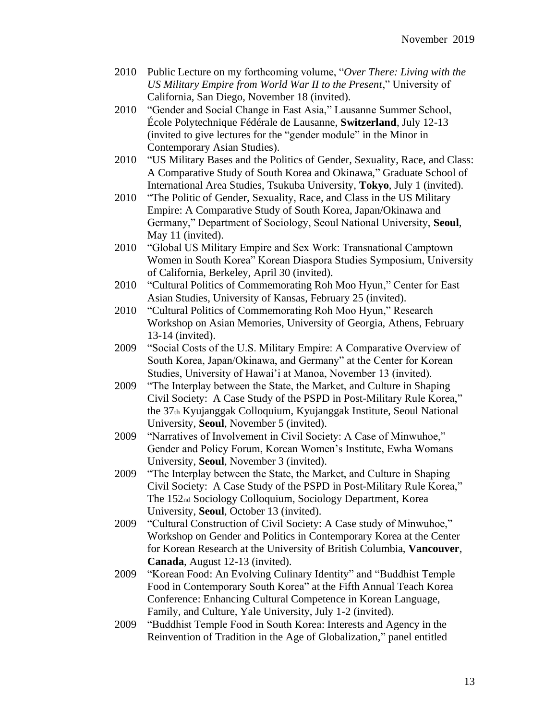- 2010 Public Lecture on my forthcoming volume, "*Over There: Living with the US Military Empire from World War II to the Present*," University of California, San Diego, November 18 (invited).
- 2010 "Gender and Social Change in East Asia," Lausanne Summer School, École Polytechnique Fédérale de Lausanne, **Switzerland**, July 12-13 (invited to give lectures for the "gender module" in the Minor in Contemporary Asian Studies).
- 2010 "US Military Bases and the Politics of Gender, Sexuality, Race, and Class: A Comparative Study of South Korea and Okinawa," Graduate School of International Area Studies, Tsukuba University, **Tokyo**, July 1 (invited).
- 2010 "The Politic of Gender, Sexuality, Race, and Class in the US Military Empire: A Comparative Study of South Korea, Japan/Okinawa and Germany," Department of Sociology, Seoul National University, **Seoul**, May 11 (invited).
- 2010 "Global US Military Empire and Sex Work: Transnational Camptown Women in South Korea" Korean Diaspora Studies Symposium, University of California, Berkeley, April 30 (invited).
- 2010 "Cultural Politics of Commemorating Roh Moo Hyun," Center for East Asian Studies, University of Kansas, February 25 (invited).
- 2010 "Cultural Politics of Commemorating Roh Moo Hyun," Research Workshop on Asian Memories, University of Georgia, Athens, February 13-14 (invited).
- 2009 "Social Costs of the U.S. Military Empire: A Comparative Overview of South Korea, Japan/Okinawa, and Germany" at the Center for Korean Studies, University of Hawai'i at Manoa, November 13 (invited).
- 2009 "The Interplay between the State, the Market, and Culture in Shaping Civil Society: A Case Study of the PSPD in Post-Military Rule Korea," the 37th Kyujanggak Colloquium, Kyujanggak Institute, Seoul National University, **Seoul**, November 5 (invited).
- 2009 "Narratives of Involvement in Civil Society: A Case of Minwuhoe," Gender and Policy Forum, Korean Women's Institute, Ewha Womans University, **Seoul**, November 3 (invited).
- 2009 "The Interplay between the State, the Market, and Culture in Shaping Civil Society: A Case Study of the PSPD in Post-Military Rule Korea," The 152nd Sociology Colloquium, Sociology Department, Korea University, **Seoul**, October 13 (invited).
- 2009 "Cultural Construction of Civil Society: A Case study of Minwuhoe," Workshop on Gender and Politics in Contemporary Korea at the Center for Korean Research at the University of British Columbia, **Vancouver**, **Canada**, August 12-13 (invited).
- 2009 "Korean Food: An Evolving Culinary Identity" and "Buddhist Temple Food in Contemporary South Korea" at the Fifth Annual Teach Korea Conference: Enhancing Cultural Competence in Korean Language, Family, and Culture, Yale University, July 1-2 (invited).
- 2009 "Buddhist Temple Food in South Korea: Interests and Agency in the Reinvention of Tradition in the Age of Globalization," panel entitled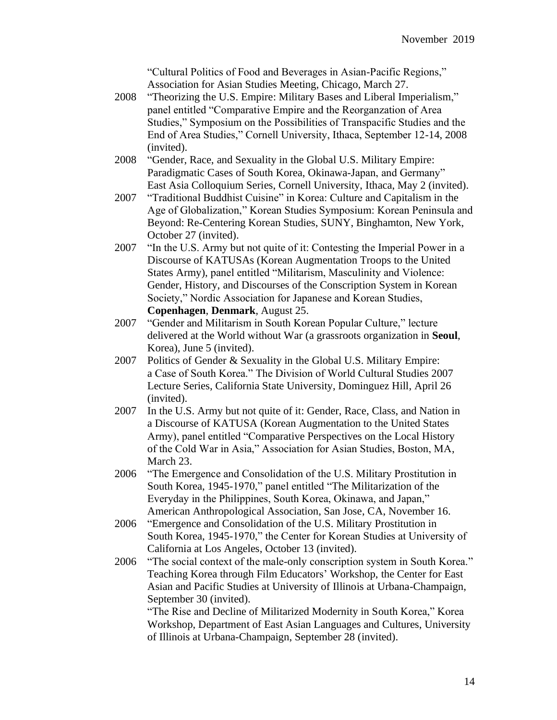"Cultural Politics of Food and Beverages in Asian-Pacific Regions," Association for Asian Studies Meeting, Chicago, March 27.

- 2008 "Theorizing the U.S. Empire: Military Bases and Liberal Imperialism," panel entitled "Comparative Empire and the Reorganzation of Area Studies," Symposium on the Possibilities of Transpacific Studies and the End of Area Studies," Cornell University, Ithaca, September 12-14, 2008 (invited).
- 2008 "Gender, Race, and Sexuality in the Global U.S. Military Empire: Paradigmatic Cases of South Korea, Okinawa-Japan, and Germany" East Asia Colloquium Series, Cornell University, Ithaca, May 2 (invited).
- 2007 "Traditional Buddhist Cuisine" in Korea: Culture and Capitalism in the Age of Globalization," Korean Studies Symposium: Korean Peninsula and Beyond: Re-Centering Korean Studies, SUNY, Binghamton, New York, October 27 (invited).
- 2007 "In the U.S. Army but not quite of it: Contesting the Imperial Power in a Discourse of KATUSAs (Korean Augmentation Troops to the United States Army), panel entitled "Militarism, Masculinity and Violence: Gender, History, and Discourses of the Conscription System in Korean Society," Nordic Association for Japanese and Korean Studies, **Copenhagen**, **Denmark**, August 25.
- 2007 "Gender and Militarism in South Korean Popular Culture," lecture delivered at the World without War (a grassroots organization in **Seoul**, Korea), June 5 (invited).
- 2007 Politics of Gender & Sexuality in the Global U.S. Military Empire: a Case of South Korea." The Division of World Cultural Studies 2007 Lecture Series, California State University, Dominguez Hill, April 26 (invited).
- 2007 In the U.S. Army but not quite of it: Gender, Race, Class, and Nation in a Discourse of KATUSA (Korean Augmentation to the United States Army), panel entitled "Comparative Perspectives on the Local History of the Cold War in Asia," Association for Asian Studies, Boston, MA, March 23.
- 2006 "The Emergence and Consolidation of the U.S. Military Prostitution in South Korea, 1945-1970," panel entitled "The Militarization of the Everyday in the Philippines, South Korea, Okinawa, and Japan," American Anthropological Association, San Jose, CA, November 16.
- 2006 "Emergence and Consolidation of the U.S. Military Prostitution in South Korea, 1945-1970," the Center for Korean Studies at University of California at Los Angeles, October 13 (invited).
- 2006 "The social context of the male-only conscription system in South Korea." Teaching Korea through Film Educators' Workshop, the Center for East Asian and Pacific Studies at University of Illinois at Urbana-Champaign, September 30 (invited).

"The Rise and Decline of Militarized Modernity in South Korea," Korea Workshop, Department of East Asian Languages and Cultures, University of Illinois at Urbana-Champaign, September 28 (invited).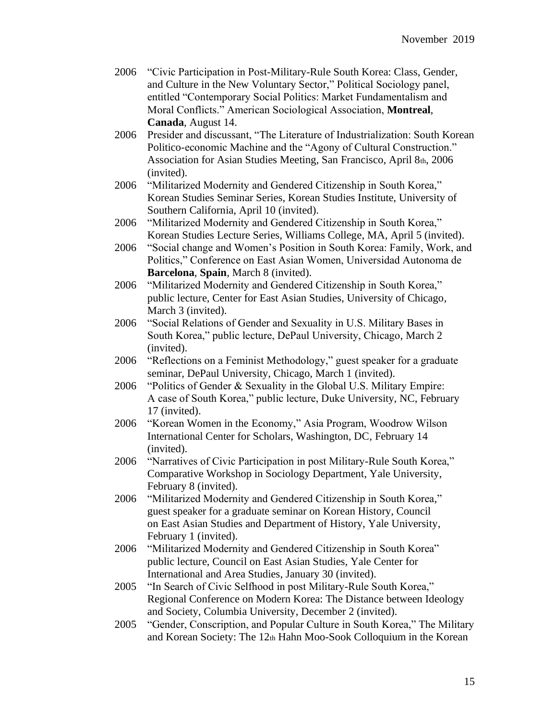| 2006 "Civic Participation in Post-Military-Rule South Korea: Class, Gender, |
|-----------------------------------------------------------------------------|
| and Culture in the New Voluntary Sector," Political Sociology panel,        |
| entitled "Contemporary Social Politics: Market Fundamentalism and           |
| Moral Conflicts." American Sociological Association, Montreal,              |
| Canada, August 14.                                                          |

- 2006 Presider and discussant, "The Literature of Industrialization: South Korean Politico-economic Machine and the "Agony of Cultural Construction." Association for Asian Studies Meeting, San Francisco, April 8th, 2006 (invited).
- 2006 "Militarized Modernity and Gendered Citizenship in South Korea," Korean Studies Seminar Series, Korean Studies Institute, University of Southern California, April 10 (invited).
- 2006 "Militarized Modernity and Gendered Citizenship in South Korea," Korean Studies Lecture Series, Williams College, MA, April 5 (invited).
- 2006 "Social change and Women's Position in South Korea: Family, Work, and Politics," Conference on East Asian Women, Universidad Autonoma de **Barcelona**, **Spain**, March 8 (invited).
- 2006 "Militarized Modernity and Gendered Citizenship in South Korea," public lecture, Center for East Asian Studies, University of Chicago, March 3 (invited).
- 2006 "Social Relations of Gender and Sexuality in U.S. Military Bases in South Korea," public lecture, DePaul University, Chicago, March 2 (invited).
- 2006 "Reflections on a Feminist Methodology," guest speaker for a graduate seminar, DePaul University, Chicago, March 1 (invited).
- 2006 "Politics of Gender & Sexuality in the Global U.S. Military Empire: A case of South Korea," public lecture, Duke University, NC, February 17 (invited).
- 2006 "Korean Women in the Economy," Asia Program, Woodrow Wilson International Center for Scholars, Washington, DC, February 14 (invited).
- 2006 "Narratives of Civic Participation in post Military-Rule South Korea," Comparative Workshop in Sociology Department, Yale University, February 8 (invited).
- 2006 "Militarized Modernity and Gendered Citizenship in South Korea," guest speaker for a graduate seminar on Korean History, Council on East Asian Studies and Department of History, Yale University, February 1 (invited).
- 2006 "Militarized Modernity and Gendered Citizenship in South Korea" public lecture, Council on East Asian Studies, Yale Center for International and Area Studies, January 30 (invited).
- 2005 "In Search of Civic Selfhood in post Military-Rule South Korea," Regional Conference on Modern Korea: The Distance between Ideology and Society, Columbia University, December 2 (invited).
- 2005 "Gender, Conscription, and Popular Culture in South Korea," The Military and Korean Society: The 12th Hahn Moo-Sook Colloquium in the Korean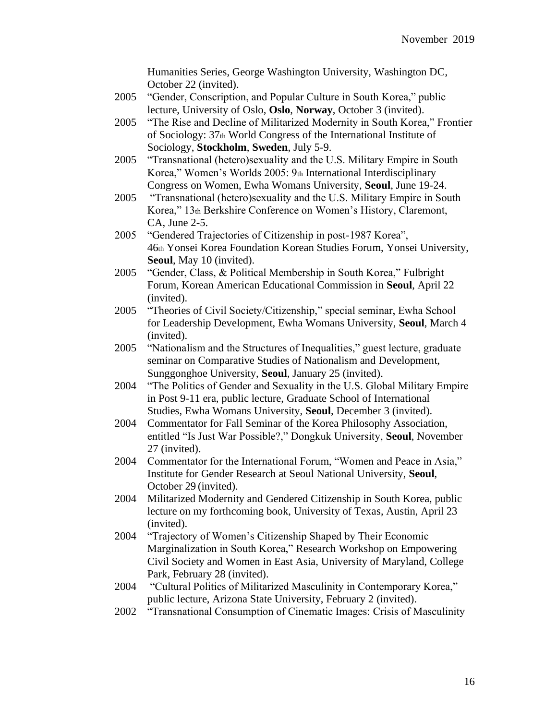Humanities Series, George Washington University, Washington DC, October 22 (invited).

- 2005 "Gender, Conscription, and Popular Culture in South Korea," public lecture, University of Oslo, **Oslo**, **Norway**, October 3 (invited).
- 2005 "The Rise and Decline of Militarized Modernity in South Korea," Frontier of Sociology: 37th World Congress of the International Institute of Sociology, **Stockholm**, **Sweden**, July 5-9.
- 2005 "Transnational (hetero)sexuality and the U.S. Military Empire in South Korea," Women's Worlds 2005: 9th International Interdisciplinary Congress on Women, Ewha Womans University, **Seoul**, June 19-24.
- 2005 "Transnational (hetero)sexuality and the U.S. Military Empire in South Korea," 13th Berkshire Conference on Women's History, Claremont, CA, June 2-5.
- 2005 "Gendered Trajectories of Citizenship in post-1987 Korea", 46th Yonsei Korea Foundation Korean Studies Forum, Yonsei University, **Seoul**, May 10 (invited).
- 2005 "Gender, Class, & Political Membership in South Korea," Fulbright Forum, Korean American Educational Commission in **Seoul**, April 22 (invited).
- 2005 "Theories of Civil Society/Citizenship," special seminar, Ewha School for Leadership Development, Ewha Womans University, **Seoul**, March 4 (invited).
- 2005 "Nationalism and the Structures of Inequalities," guest lecture, graduate seminar on Comparative Studies of Nationalism and Development, Sunggonghoe University, **Seoul**, January 25 (invited).
- 2004 "The Politics of Gender and Sexuality in the U.S. Global Military Empire in Post 9-11 era, public lecture, Graduate School of International Studies, Ewha Womans University, **Seoul**, December 3 (invited).
- 2004 Commentator for Fall Seminar of the Korea Philosophy Association, entitled "Is Just War Possible?," Dongkuk University, **Seoul**, November 27 (invited).
- 2004 Commentator for the International Forum, "Women and Peace in Asia," Institute for Gender Research at Seoul National University, **Seoul**, October 29 (invited).
- 2004 Militarized Modernity and Gendered Citizenship in South Korea, public lecture on my forthcoming book, University of Texas, Austin, April 23 (invited).
- 2004 "Trajectory of Women's Citizenship Shaped by Their Economic Marginalization in South Korea," Research Workshop on Empowering Civil Society and Women in East Asia, University of Maryland, College Park, February 28 (invited).
- 2004 "Cultural Politics of Militarized Masculinity in Contemporary Korea," public lecture, Arizona State University, February 2 (invited).
- 2002 "Transnational Consumption of Cinematic Images: Crisis of Masculinity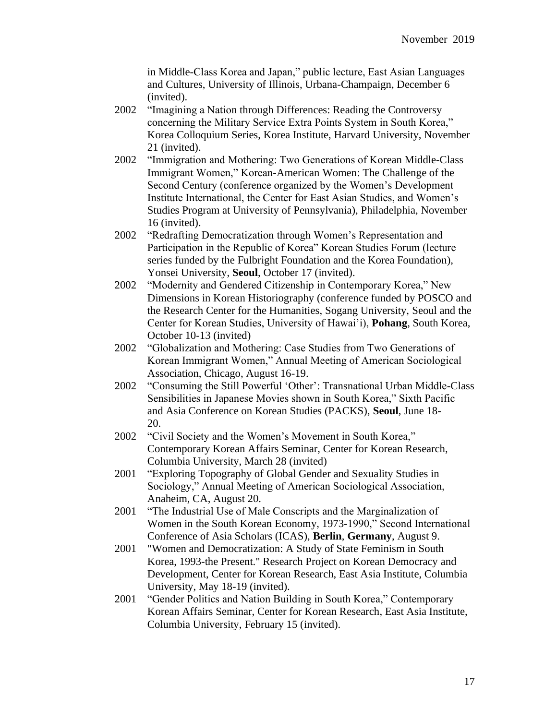in Middle-Class Korea and Japan," public lecture, East Asian Languages and Cultures, University of Illinois, Urbana-Champaign, December 6 (invited).

- 2002 "Imagining a Nation through Differences: Reading the Controversy concerning the Military Service Extra Points System in South Korea," Korea Colloquium Series, Korea Institute, Harvard University, November 21 (invited).
- 2002 "Immigration and Mothering: Two Generations of Korean Middle-Class Immigrant Women," Korean-American Women: The Challenge of the Second Century (conference organized by the Women's Development Institute International, the Center for East Asian Studies, and Women's Studies Program at University of Pennsylvania), Philadelphia, November 16 (invited).
- 2002 "Redrafting Democratization through Women's Representation and Participation in the Republic of Korea" Korean Studies Forum (lecture series funded by the Fulbright Foundation and the Korea Foundation), Yonsei University, **Seoul**, October 17 (invited).
- 2002 "Modernity and Gendered Citizenship in Contemporary Korea," New Dimensions in Korean Historiography (conference funded by POSCO and the Research Center for the Humanities, Sogang University, Seoul and the Center for Korean Studies, University of Hawai'i), **Pohang**, South Korea, October 10-13 (invited)
- 2002 "Globalization and Mothering: Case Studies from Two Generations of Korean Immigrant Women," Annual Meeting of American Sociological Association, Chicago, August 16-19.
- 2002 "Consuming the Still Powerful 'Other': Transnational Urban Middle-Class Sensibilities in Japanese Movies shown in South Korea," Sixth Pacific and Asia Conference on Korean Studies (PACKS), **Seoul**, June 18- 20.
- 2002 "Civil Society and the Women's Movement in South Korea," Contemporary Korean Affairs Seminar, Center for Korean Research, Columbia University, March 28 (invited)
- 2001 "Exploring Topography of Global Gender and Sexuality Studies in Sociology," Annual Meeting of American Sociological Association, Anaheim, CA, August 20.
- 2001 "The Industrial Use of Male Conscripts and the Marginalization of Women in the South Korean Economy, 1973-1990," Second International Conference of Asia Scholars (ICAS), **Berlin**, **Germany**, August 9.
- 2001 "Women and Democratization: A Study of State Feminism in South Korea, 1993-the Present." Research Project on Korean Democracy and Development, Center for Korean Research, East Asia Institute, Columbia University, May 18-19 (invited).
- 2001 "Gender Politics and Nation Building in South Korea," Contemporary Korean Affairs Seminar, Center for Korean Research, East Asia Institute, Columbia University, February 15 (invited).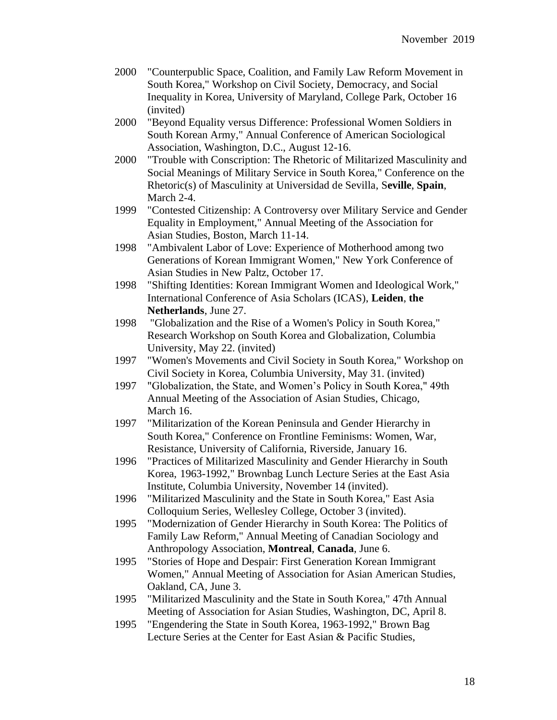- 2000 "Counterpublic Space, Coalition, and Family Law Reform Movement in South Korea," Workshop on Civil Society, Democracy, and Social Inequality in Korea, University of Maryland, College Park, October 16 (invited)
- 2000 "Beyond Equality versus Difference: Professional Women Soldiers in South Korean Army," Annual Conference of American Sociological Association, Washington, D.C., August 12-16.
- 2000 "Trouble with Conscription: The Rhetoric of Militarized Masculinity and Social Meanings of Military Service in South Korea," Conference on the Rhetoric(s) of Masculinity at Universidad de Sevilla, S**eville**, **Spain**, March 2-4.
- 1999 "Contested Citizenship: A Controversy over Military Service and Gender Equality in Employment," Annual Meeting of the Association for Asian Studies, Boston, March 11-14.
- 1998 "Ambivalent Labor of Love: Experience of Motherhood among two Generations of Korean Immigrant Women," New York Conference of Asian Studies in New Paltz, October 17.
- 1998 "Shifting Identities: Korean Immigrant Women and Ideological Work," International Conference of Asia Scholars (ICAS), **Leiden**, **the Netherlands**, June 27.
- 1998 "Globalization and the Rise of a Women's Policy in South Korea," Research Workshop on South Korea and Globalization, Columbia University, May 22. (invited)
- 1997 "Women's Movements and Civil Society in South Korea," Workshop on Civil Society in Korea, Columbia University, May 31. (invited)
- 1997 "Globalization, the State, and Women's Policy in South Korea," 49th Annual Meeting of the Association of Asian Studies, Chicago, March 16.
- 1997 "Militarization of the Korean Peninsula and Gender Hierarchy in South Korea," Conference on Frontline Feminisms: Women, War, Resistance, University of California, Riverside, January 16.
- 1996 "Practices of Militarized Masculinity and Gender Hierarchy in South Korea, 1963-1992," Brownbag Lunch Lecture Series at the East Asia Institute, Columbia University, November 14 (invited).
- 1996 "Militarized Masculinity and the State in South Korea," East Asia Colloquium Series, Wellesley College, October 3 (invited).
- 1995 "Modernization of Gender Hierarchy in South Korea: The Politics of Family Law Reform," Annual Meeting of Canadian Sociology and Anthropology Association, **Montreal**, **Canada**, June 6.
- 1995 "Stories of Hope and Despair: First Generation Korean Immigrant Women," Annual Meeting of Association for Asian American Studies, Oakland, CA, June 3.
- 1995 "Militarized Masculinity and the State in South Korea," 47th Annual Meeting of Association for Asian Studies, Washington, DC, April 8.
- 1995 "Engendering the State in South Korea, 1963-1992," Brown Bag Lecture Series at the Center for East Asian & Pacific Studies,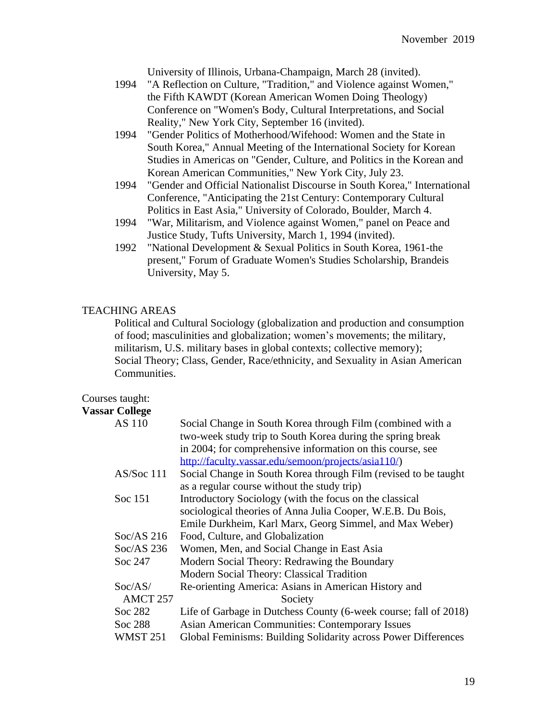University of Illinois, Urbana-Champaign, March 28 (invited).

- 1994 "A Reflection on Culture, "Tradition," and Violence against Women," the Fifth KAWDT (Korean American Women Doing Theology) Conference on "Women's Body, Cultural Interpretations, and Social Reality," New York City, September 16 (invited).
- 1994 "Gender Politics of Motherhood/Wifehood: Women and the State in South Korea," Annual Meeting of the International Society for Korean Studies in Americas on "Gender, Culture, and Politics in the Korean and Korean American Communities," New York City, July 23.
- 1994 "Gender and Official Nationalist Discourse in South Korea," International Conference, "Anticipating the 21st Century: Contemporary Cultural Politics in East Asia," University of Colorado, Boulder, March 4.
- 1994 "War, Militarism, and Violence against Women," panel on Peace and Justice Study, Tufts University, March 1, 1994 (invited).
- 1992 "National Development & Sexual Politics in South Korea, 1961-the present," Forum of Graduate Women's Studies Scholarship, Brandeis University, May 5.

## TEACHING AREAS

Political and Cultural Sociology (globalization and production and consumption of food; masculinities and globalization; women's movements; the military, militarism, U.S. military bases in global contexts; collective memory); Social Theory; Class, Gender, Race/ethnicity, and Sexuality in Asian American Communities.

# Courses taught:

## **Vassar College**

| AS 110              | Social Change in South Korea through Film (combined with a       |
|---------------------|------------------------------------------------------------------|
|                     | two-week study trip to South Korea during the spring break       |
|                     | in 2004; for comprehensive information on this course, see       |
|                     | http://faculty.vassar.edu/semoon/projects/asia110/)              |
| AS/ Soc 111         | Social Change in South Korea through Film (revised to be taught  |
|                     | as a regular course without the study trip)                      |
| Soc 151             | Introductory Sociology (with the focus on the classical          |
|                     | sociological theories of Anna Julia Cooper, W.E.B. Du Bois,      |
|                     | Emile Durkheim, Karl Marx, Georg Simmel, and Max Weber)          |
| $Soc/AS$ 216        | Food, Culture, and Globalization                                 |
| $Soc/AS$ 236        | Women, Men, and Social Change in East Asia                       |
| Soc 247             | Modern Social Theory: Redrawing the Boundary                     |
|                     | Modern Social Theory: Classical Tradition                        |
| Soc/AS/             | Re-orienting America: Asians in American History and             |
| AMCT <sub>257</sub> | Society                                                          |
| Soc 282             | Life of Garbage in Dutchess County (6-week course; fall of 2018) |
| Soc 288             | <b>Asian American Communities: Contemporary Issues</b>           |
| <b>WMST 251</b>     | Global Feminisms: Building Solidarity across Power Differences   |
|                     |                                                                  |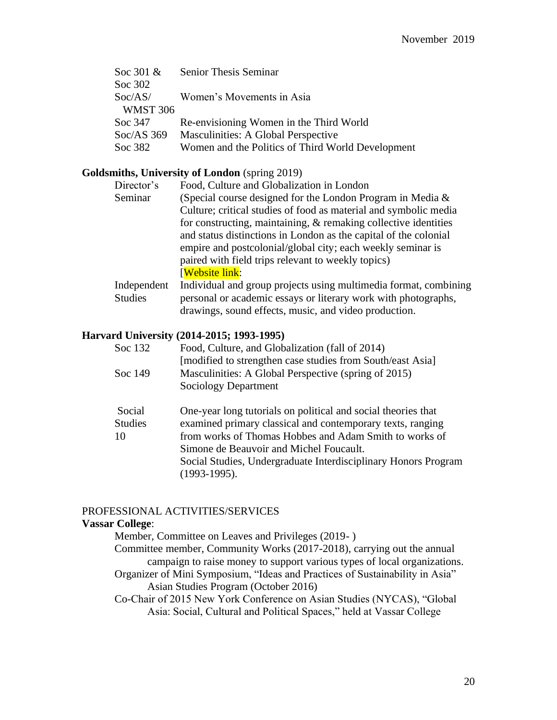| <b>Senior Thesis Seminar</b>                      |
|---------------------------------------------------|
|                                                   |
| Women's Movements in Asia                         |
|                                                   |
| Re-envisioning Women in the Third World           |
| Masculinities: A Global Perspective               |
| Women and the Politics of Third World Development |
|                                                   |

# **Goldsmiths, University of London** (spring 2019)

| Director's     | Food, Culture and Globalization in London                          |
|----------------|--------------------------------------------------------------------|
| Seminar        | (Special course designed for the London Program in Media $\&$      |
|                | Culture; critical studies of food as material and symbolic media   |
|                | for constructing, maintaining, $\&$ remaking collective identities |
|                | and status distinctions in London as the capital of the colonial   |
|                | empire and postcolonial/global city; each weekly seminar is        |
|                | paired with field trips relevant to weekly topics)                 |
|                | <b>Website link:</b>                                               |
| Independent    | Individual and group projects using multimedia format, combining   |
| <b>Studies</b> | personal or academic essays or literary work with photographs,     |

drawings, sound effects, music, and video production.

# **Harvard University (2014-2015; 1993-1995)**

| Soc 132 | Food, Culture, and Globalization (fall of 2014)            |
|---------|------------------------------------------------------------|
|         | [modified to strengthen case studies from South/east Asia] |
| Soc 149 | Masculinities: A Global Perspective (spring of 2015)       |
|         | Sociology Department                                       |
|         |                                                            |

| Social         | One-year long tutorials on political and social theories that                     |
|----------------|-----------------------------------------------------------------------------------|
| <b>Studies</b> | examined primary classical and contemporary texts, ranging                        |
| 10             | from works of Thomas Hobbes and Adam Smith to works of                            |
|                | Simone de Beauvoir and Michel Foucault.                                           |
|                | Social Studies, Undergraduate Interdisciplinary Honors Program<br>$(1993-1995)$ . |
|                |                                                                                   |

#### PROFESSIONAL ACTIVITIES/SERVICES

# **Vassar College**:

Member, Committee on Leaves and Privileges (2019- ) Committee member, Community Works (2017-2018), carrying out the annual campaign to raise money to support various types of local organizations. Organizer of Mini Symposium, "Ideas and Practices of Sustainability in Asia" Asian Studies Program (October 2016) Co-Chair of 2015 New York Conference on Asian Studies (NYCAS), "Global

Asia: Social, Cultural and Political Spaces," held at Vassar College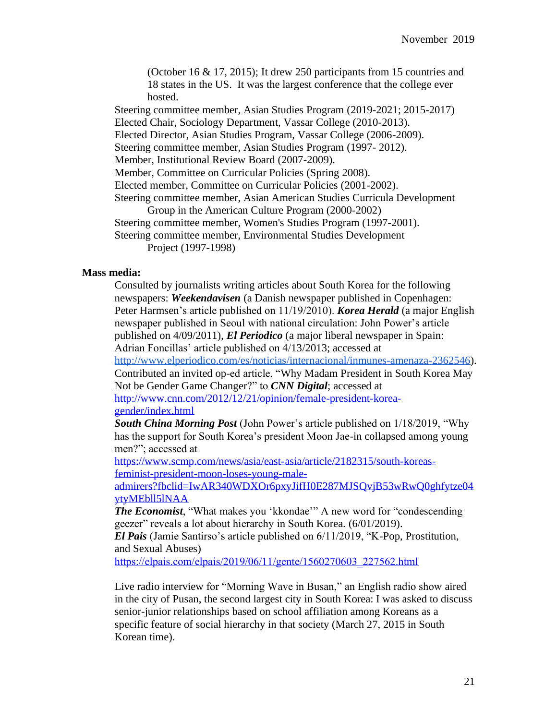(October 16 & 17, 2015); It drew 250 participants from 15 countries and 18 states in the US. It was the largest conference that the college ever hosted.

Steering committee member, Asian Studies Program (2019-2021; 2015-2017) Elected Chair, Sociology Department, Vassar College (2010-2013). Elected Director, Asian Studies Program, Vassar College (2006-2009). Steering committee member, Asian Studies Program (1997- 2012). Member, Institutional Review Board (2007-2009). Member, Committee on Curricular Policies (Spring 2008). Elected member, Committee on Curricular Policies (2001-2002). Steering committee member, Asian American Studies Curricula Development Group in the American Culture Program (2000-2002) Steering committee member, Women's Studies Program (1997-2001). Steering committee member, Environmental Studies Development Project (1997-1998)

## **Mass media:**

Consulted by journalists writing articles about South Korea for the following newspapers: *Weekendavisen* (a Danish newspaper published in Copenhagen: Peter Harmsen's article published on 11/19/2010). *Korea Herald* (a major English newspaper published in Seoul with national circulation: John Power's article published on 4/09/2011), *El Periodico* (a major liberal newspaper in Spain: Adrian Foncillas' article published on 4/13/2013; accessed at [http://www.elperiodico.com/es/noticias/internacional/inmunes-amenaza-2362546\)](http://www.elperiodico.com/es/noticias/internacional/inmunes-amenaza-2362546).

Contributed an invited op-ed article, "Why Madam President in South Korea May Not be Gender Game Changer?" to *CNN Digital*; accessed at [http://www.cnn.com/2012/12/21/opinion/female-president-korea-](http://www.cnn.com/2012/12/21/opinion/female-president-korea-gender/index.html)

#### [gender/index.html](http://www.cnn.com/2012/12/21/opinion/female-president-korea-gender/index.html)

*South China Morning Post* (John Power's article published on 1/18/2019, "Why has the support for South Korea's president Moon Jae-in collapsed among young men?"; accessed at

[https://www.scmp.com/news/asia/east-asia/article/2182315/south-koreas](https://www.scmp.com/news/asia/east-asia/article/2182315/south-koreas-feminist-president-moon-loses-young-male-admirers?fbclid=IwAR340WDXOr6pxyJifH0E287MJSQvjB53wRwQ0ghfytze04ytyMEbll5lNAA)[feminist-president-moon-loses-young-male-](https://www.scmp.com/news/asia/east-asia/article/2182315/south-koreas-feminist-president-moon-loses-young-male-admirers?fbclid=IwAR340WDXOr6pxyJifH0E287MJSQvjB53wRwQ0ghfytze04ytyMEbll5lNAA)

[admirers?fbclid=IwAR340WDXOr6pxyJifH0E287MJSQvjB53wRwQ0ghfytze04](https://www.scmp.com/news/asia/east-asia/article/2182315/south-koreas-feminist-president-moon-loses-young-male-admirers?fbclid=IwAR340WDXOr6pxyJifH0E287MJSQvjB53wRwQ0ghfytze04ytyMEbll5lNAA) [ytyMEbll5lNAA](https://www.scmp.com/news/asia/east-asia/article/2182315/south-koreas-feminist-president-moon-loses-young-male-admirers?fbclid=IwAR340WDXOr6pxyJifH0E287MJSQvjB53wRwQ0ghfytze04ytyMEbll5lNAA)

**The Economist**, "What makes you 'kkondae'" A new word for "condescending geezer" reveals a lot about hierarchy in South Korea. (6/01/2019).

*El Pais* (Jamie Santirso's article published on 6/11/2019, "K-Pop, Prostitution, and Sexual Abuses)

[https://elpais.com/elpais/2019/06/11/gente/1560270603\\_227562.html](https://elpais.com/elpais/2019/06/11/gente/1560270603_227562.html)

Live radio interview for "Morning Wave in Busan," an English radio show aired in the city of Pusan, the second largest city in South Korea: I was asked to discuss senior-junior relationships based on school affiliation among Koreans as a specific feature of social hierarchy in that society (March 27, 2015 in South Korean time).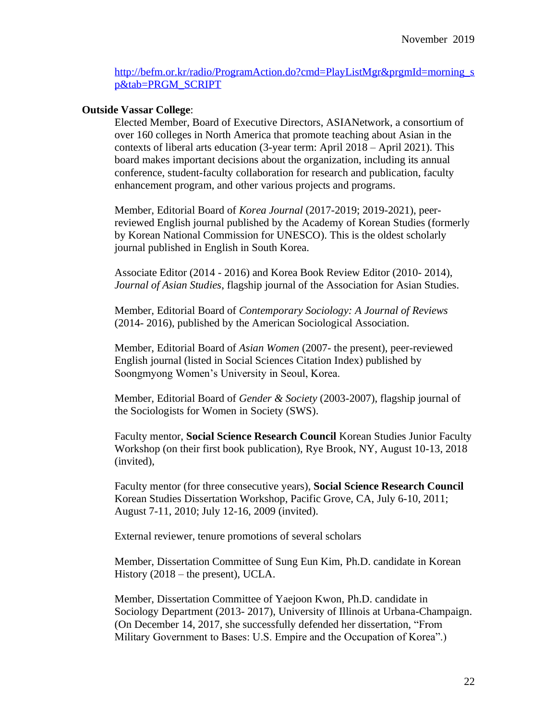[http://befm.or.kr/radio/ProgramAction.do?cmd=PlayListMgr&prgmId=morning\\_s](http://befm.or.kr/radio/ProgramAction.do?cmd=PlayListMgr&prgmId=morning_sp&tab=PRGM_SCRIPT) [p&tab=PRGM\\_SCRIPT](http://befm.or.kr/radio/ProgramAction.do?cmd=PlayListMgr&prgmId=morning_sp&tab=PRGM_SCRIPT)

## **Outside Vassar College**:

Elected Member, Board of Executive Directors, ASIANetwork, a consortium of over 160 colleges in North America that promote teaching about Asian in the contexts of liberal arts education (3-year term: April 2018 – April 2021). This board makes important decisions about the organization, including its annual conference, student-faculty collaboration for research and publication, faculty enhancement program, and other various projects and programs.

Member, Editorial Board of *Korea Journal* (2017-2019; 2019-2021), peerreviewed English journal published by the Academy of Korean Studies (formerly by Korean National Commission for UNESCO). This is the oldest scholarly journal published in English in South Korea.

Associate Editor (2014 - 2016) and Korea Book Review Editor (2010- 2014), *Journal of Asian Studies*, flagship journal of the Association for Asian Studies.

Member, Editorial Board of *Contemporary Sociology: A Journal of Reviews* (2014- 2016), published by the American Sociological Association.

Member, Editorial Board of *Asian Women* (2007- the present), peer-reviewed English journal (listed in Social Sciences Citation Index) published by Soongmyong Women's University in Seoul, Korea.

Member, Editorial Board of *Gender & Society* (2003-2007), flagship journal of the Sociologists for Women in Society (SWS).

Faculty mentor, **Social Science Research Council** Korean Studies Junior Faculty Workshop (on their first book publication), Rye Brook, NY, August 10-13, 2018 (invited),

Faculty mentor (for three consecutive years), **Social Science Research Council**  Korean Studies Dissertation Workshop, Pacific Grove, CA, July 6-10, 2011; August 7-11, 2010; July 12-16, 2009 (invited).

External reviewer, tenure promotions of several scholars

Member, Dissertation Committee of Sung Eun Kim, Ph.D. candidate in Korean History (2018 – the present), UCLA.

Member, Dissertation Committee of Yaejoon Kwon, Ph.D. candidate in Sociology Department (2013- 2017), University of Illinois at Urbana-Champaign. (On December 14, 2017, she successfully defended her dissertation, "From Military Government to Bases: U.S. Empire and the Occupation of Korea".)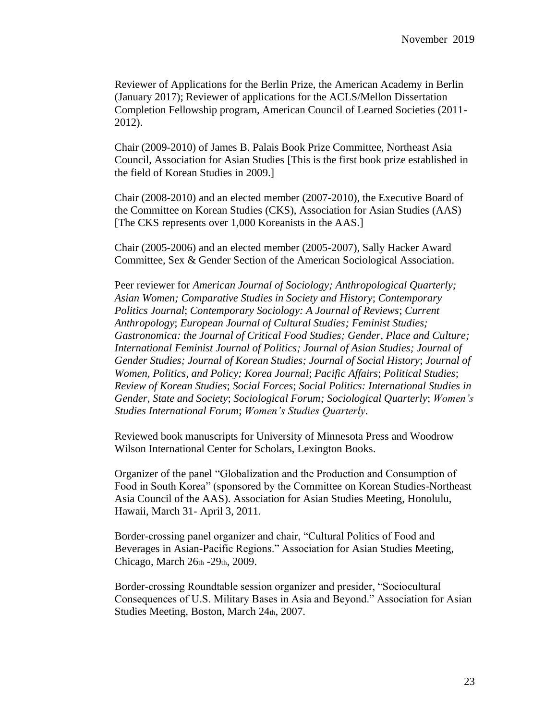Reviewer of Applications for the Berlin Prize, the American Academy in Berlin (January 2017); Reviewer of applications for the ACLS/Mellon Dissertation Completion Fellowship program, American Council of Learned Societies (2011- 2012).

Chair (2009-2010) of James B. Palais Book Prize Committee, Northeast Asia Council, Association for Asian Studies [This is the first book prize established in the field of Korean Studies in 2009.]

Chair (2008-2010) and an elected member (2007-2010), the Executive Board of the Committee on Korean Studies (CKS), Association for Asian Studies (AAS) [The CKS represents over 1,000 Koreanists in the AAS.]

Chair (2005-2006) and an elected member (2005-2007), Sally Hacker Award Committee, Sex & Gender Section of the American Sociological Association.

Peer reviewer for *American Journal of Sociology; Anthropological Quarterly; Asian Women; Comparative Studies in Society and History*; *Contemporary Politics Journal*; *Contemporary Sociology: A Journal of Reviews*; *Current Anthropology*; *European Journal of Cultural Studies; Feminist Studies; Gastronomica: the Journal of Critical Food Studies; Gender, Place and Culture; International Feminist Journal of Politics; Journal of Asian Studies; Journal of Gender Studies; Journal of Korean Studies; Journal of Social History*; *Journal of Women, Politics, and Policy; Korea Journal*; *Pacific Affairs*; *Political Studies*; *Review of Korean Studies*; *Social Forces*; *Social Politics: International Studies in Gender, State and Society*; *Sociological Forum; Sociological Quarterly*; *Women's Studies International Forum*; *Women's Studies Quarterly*.

Reviewed book manuscripts for University of Minnesota Press and Woodrow Wilson International Center for Scholars, Lexington Books.

Organizer of the panel "Globalization and the Production and Consumption of Food in South Korea" (sponsored by the Committee on Korean Studies-Northeast Asia Council of the AAS). Association for Asian Studies Meeting, Honolulu, Hawaii, March 31- April 3, 2011.

Border-crossing panel organizer and chair, "Cultural Politics of Food and Beverages in Asian-Pacific Regions." Association for Asian Studies Meeting, Chicago, March 26th -29th, 2009.

Border-crossing Roundtable session organizer and presider, "Sociocultural Consequences of U.S. Military Bases in Asia and Beyond." Association for Asian Studies Meeting, Boston, March 24th, 2007.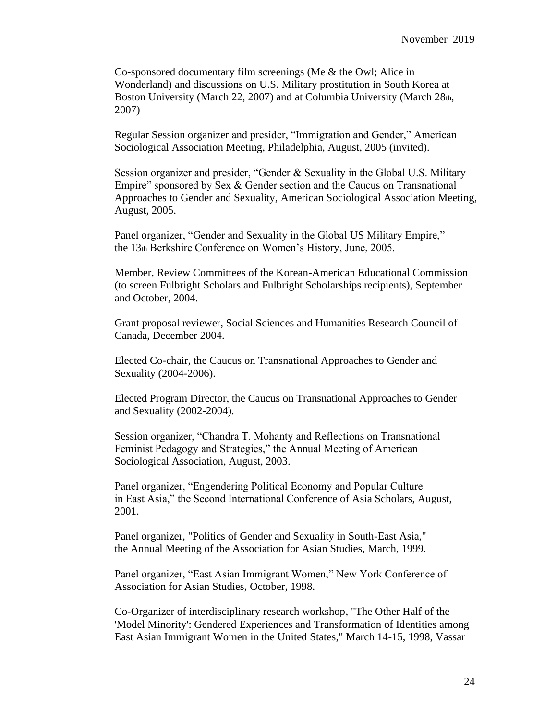Co-sponsored documentary film screenings (Me & the Owl; Alice in Wonderland) and discussions on U.S. Military prostitution in South Korea at Boston University (March 22, 2007) and at Columbia University (March 28th, 2007)

Regular Session organizer and presider, "Immigration and Gender," American Sociological Association Meeting, Philadelphia, August, 2005 (invited).

Session organizer and presider, "Gender & Sexuality in the Global U.S. Military Empire" sponsored by Sex & Gender section and the Caucus on Transnational Approaches to Gender and Sexuality, American Sociological Association Meeting, August, 2005.

Panel organizer, "Gender and Sexuality in the Global US Military Empire," the 13th Berkshire Conference on Women's History, June, 2005.

Member, Review Committees of the Korean-American Educational Commission (to screen Fulbright Scholars and Fulbright Scholarships recipients), September and October, 2004.

Grant proposal reviewer, Social Sciences and Humanities Research Council of Canada, December 2004.

Elected Co-chair, the Caucus on Transnational Approaches to Gender and Sexuality (2004-2006).

Elected Program Director, the Caucus on Transnational Approaches to Gender and Sexuality (2002-2004).

Session organizer, "Chandra T. Mohanty and Reflections on Transnational Feminist Pedagogy and Strategies," the Annual Meeting of American Sociological Association, August, 2003.

Panel organizer, "Engendering Political Economy and Popular Culture in East Asia," the Second International Conference of Asia Scholars, August, 2001.

Panel organizer, "Politics of Gender and Sexuality in South-East Asia," the Annual Meeting of the Association for Asian Studies, March, 1999.

Panel organizer, "East Asian Immigrant Women," New York Conference of Association for Asian Studies, October, 1998.

Co-Organizer of interdisciplinary research workshop, "The Other Half of the 'Model Minority': Gendered Experiences and Transformation of Identities among East Asian Immigrant Women in the United States," March 14-15, 1998, Vassar